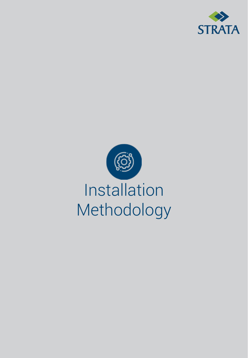

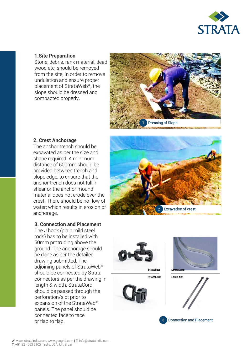

# **1.Site Preparation**

Stone, debris, rank material, dead wood etc, should be removed from the site, In order to remove undulation and ensure proper placement of StrataWeb®, the slope should be dressed and compacted properly.



## **2. Crest Anchorage**

The anchor trench should be excavated as per the size and shape required. A minimum distance of 500mm should be provided between trench and slope edge, to ensure that the anchor trench does not fall in shear or the anchor mound material does not erode over the crest. There should be no flow of water; which results in erosion of anchorage.

#### **3. Connection and Placement**

The J hook (plain mild steel rods) has to be installed with 50mm protruding above the ground. The anchorage should be done as per the detailed drawing submitted. The adjoining panels of StrataWeb® should be connected by Strata connectors as per the drawing in length & width. StrataCord should be passed through the perforation/slot prior to expansion of the StrataWeb® panels. The panel should be connected face to face or flap to flap.



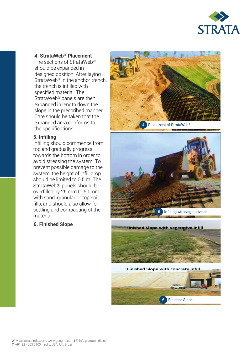

## **4. StrataWeb® Placement**

The sections of StrataWeb® should be expanded in designed position. After laying StrataWeb<sup>®</sup> in the anchor trench, the trench is infilled with specified material. The StrataWeb® panels are then expanded in length down the slope in the prescribed manner. Care should be taken that the expanded area conforms to the specifications.

#### **5. Infilling**

Infilling should commence from top and gradually progress towards the bottom in order to avoid stressing the system. To prevent possible damage to the system, the height of infill drop should be limited to 0.5 m. The StrataWeb® panels should be overfilled by 25 mm to 50 mm with sand, granular or top soil fills, and should also allow for settling and compacting of the material.

# **6. Finished Slope**